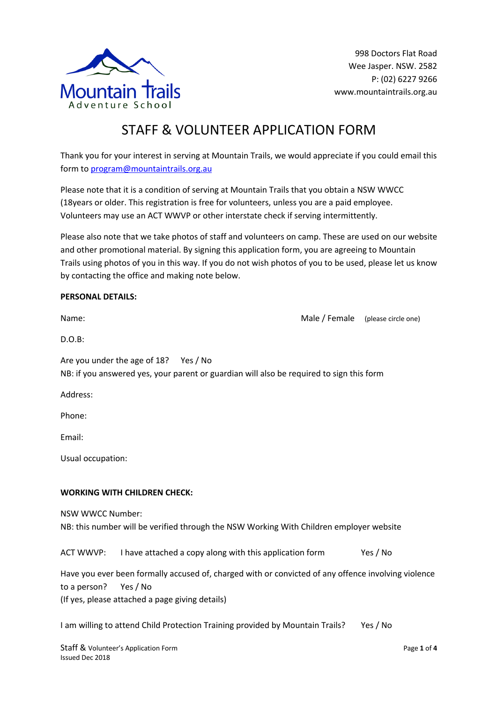

998 Doctors Flat Road Wee Jasper. NSW. 2582 P: (02) 6227 9266 www.mountaintrails.org.au

# STAFF & VOLUNTEER APPLICATION FORM

Thank you for your interest in serving at Mountain Trails, we would appreciate if you could email this form to program@mountaintrails.org.au

Please note that it is a condition of serving at Mountain Trails that you obtain a NSW WWCC (18years or older. This registration is free for volunteers, unless you are a paid employee. Volunteers may use an ACT WWVP or other interstate check if serving intermittently.

Please also note that we take photos of staff and volunteers on camp. These are used on our website and other promotional material. By signing this application form, you are agreeing to Mountain Trails using photos of you in this way. If you do not wish photos of you to be used, please let us know by contacting the office and making note below.

## **PERSONAL DETAILS:**

| Name:                                                                                                                             | Male / Female | (please circle one) |  |  |  |
|-----------------------------------------------------------------------------------------------------------------------------------|---------------|---------------------|--|--|--|
| $D.O.B$ :                                                                                                                         |               |                     |  |  |  |
| Are you under the age of 18? Yes / No<br>NB: if you answered yes, your parent or guardian will also be required to sign this form |               |                     |  |  |  |
| Address:                                                                                                                          |               |                     |  |  |  |
| Phone:                                                                                                                            |               |                     |  |  |  |
| Email:                                                                                                                            |               |                     |  |  |  |
| Usual occupation:                                                                                                                 |               |                     |  |  |  |
| <b>WORKING WITH CHILDREN CHECK:</b>                                                                                               |               |                     |  |  |  |
| <b>NSW WWCC Number:</b><br>NB: this number will be verified through the NSW Working With Children employer website                |               |                     |  |  |  |
| I have attached a copy along with this application form<br><b>ACT WWVP:</b>                                                       |               | Yes / No            |  |  |  |

Have you ever been formally accused of, charged with or convicted of any offence involving violence to a person? Yes / No (If yes, please attached a page giving details)

I am willing to attend Child Protection Training provided by Mountain Trails? Yes / No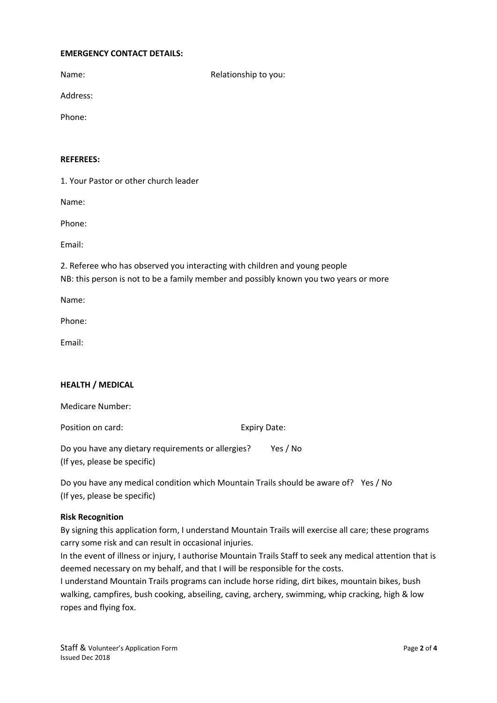## **EMERGENCY CONTACT DETAILS:**

Name: Name: Relationship to you:

Address:

Phone:

## **REFEREES:**

1. Your Pastor or other church leader

Name:

Phone:

Email:

2. Referee who has observed you interacting with children and young people NB: this person is not to be a family member and possibly known you two years or more

Name:

Phone:

Email:

## **HEALTH / MEDICAL**

Medicare Number:

Position on card: Expiry Date:

Do you have any dietary requirements or allergies? Yes / No (If yes, please be specific)

Do you have any medical condition which Mountain Trails should be aware of? Yes / No (If yes, please be specific)

#### **Risk Recognition**

By signing this application form, I understand Mountain Trails will exercise all care; these programs carry some risk and can result in occasional injuries.

In the event of illness or injury, I authorise Mountain Trails Staff to seek any medical attention that is deemed necessary on my behalf, and that I will be responsible for the costs.

I understand Mountain Trails programs can include horse riding, dirt bikes, mountain bikes, bush walking, campfires, bush cooking, abseiling, caving, archery, swimming, whip cracking, high & low ropes and flying fox.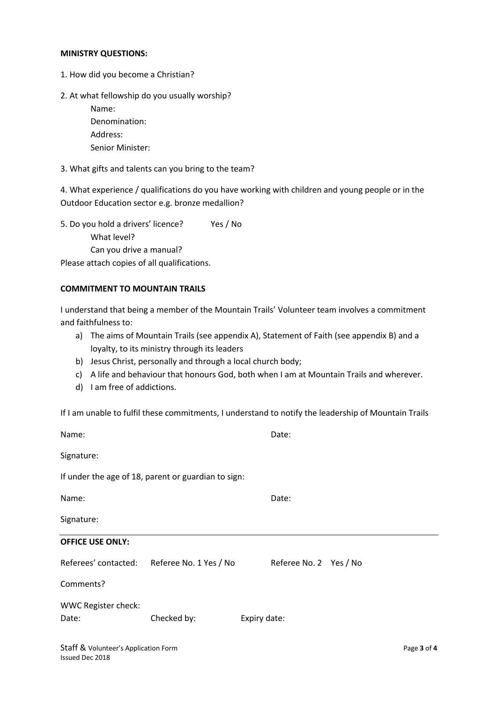#### **MINISTRY QUESTIONS:**

- 1. How did you become a Christian?
- 2. At what fellowship do you usually worship?
	- Name: Denomination: Address: Senior Minister:
- 3. What gifts and talents can you bring to the team?

4. What experience / qualifications do you have working with children and young people or in the Outdoor Education sector e.g. bronze medallion?

5. Do you hold a drivers' licence? Yes / No What level? Can you drive a manual?

Please attach copies of all qualifications.

## **COMMITMENT TO MOUNTAIN TRAILS**

I understand that being a member of the Mountain Trails' Volunteer team involves a commitment and faithfulness to:

- a) The aims of Mountain Trails (see appendix A), Statement of Faith (see appendix B) and a loyalty, to its ministry through its leaders
- b) Jesus Christ, personally and through a local church body;
- c) A life and behaviour that honours God, both when I am at Mountain Trails and wherever.
- d) I am free of addictions.

If I am unable to fulfil these commitments, I understand to notify the leadership of Mountain Trails

| Name:                                |                                                     | Date:                  |             |
|--------------------------------------|-----------------------------------------------------|------------------------|-------------|
| Signature:                           |                                                     |                        |             |
|                                      | If under the age of 18, parent or guardian to sign: |                        |             |
| Name:                                |                                                     | Date:                  |             |
| Signature:                           |                                                     |                        |             |
| <b>OFFICE USE ONLY:</b>              |                                                     |                        |             |
|                                      | Referees' contacted: Referee No. 1 Yes / No         | Referee No. 2 Yes / No |             |
| Comments?                            |                                                     |                        |             |
| <b>WWC Register check:</b><br>Date:  | Checked by:                                         | Expiry date:           |             |
| Staff & Volunteer's Application Form |                                                     |                        | Page 3 of 4 |